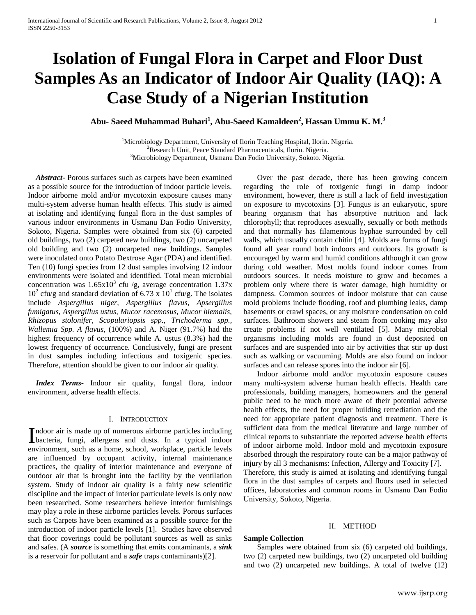# **Isolation of Fungal Flora in Carpet and Floor Dust Samples As an Indicator of Indoor Air Quality (IAQ): A Case Study of a Nigerian Institution**

**Abu- Saeed Muhammad Buhari<sup>1</sup> , Abu-Saeed Kamaldeen<sup>2</sup> , Hassan Ummu K. M.<sup>3</sup>**

<sup>1</sup>Microbiology Department, University of Ilorin Teaching Hospital, Ilorin. Nigeria.  ${}^{2}$ Research Unit, Peace Standard Pharmaceuticals, Ilorin. Nigeria. <sup>3</sup>Microbiology Department, Usmanu Dan Fodio University, Sokoto. Nigeria.

 *Abstract***-** Porous surfaces such as carpets have been examined as a possible source for the introduction of indoor particle levels. Indoor airborne mold and/or mycotoxin exposure causes many multi-system adverse human health effects. This study is aimed at isolating and identifying fungal flora in the dust samples of various indoor environments in Usmanu Dan Fodio University, Sokoto, Nigeria. Samples were obtained from six (6) carpeted old buildings, two (2) carpeted new buildings, two (2) uncarpeted old building and two (2) uncarpeted new buildings. Samples were inoculated onto Potato Dextrose Agar (PDA) and identified. Ten (10) fungi species from 12 dust samples involving 12 indoor environments were isolated and identified. Total mean microbial concentration was  $1.65x10^3$  cfu /g, average concentration  $1.37x$  $10<sup>2</sup>$  cfu/g and standard deviation of 6.73 x  $10<sup>1</sup>$  cfu/g. The isolates include *Aspergillus niger, Aspergillus flavus, Apsergillus fumigatus, Aspergillus ustus, Mucor racemosus, Mucor hiemalis, Rhizopus stolonifer, Scopulariopsis spp., Trichoderma spp., Wallemia Spp. A flavus,* (100%) and A. Niger (91.7%) had the highest frequency of occurrence while A. ustus (8.3%) had the lowest frequency of occurrence. Conclusively, fungi are present in dust samples including infectious and toxigenic species. Therefore, attention should be given to our indoor air quality.

 *Index Terms*- Indoor air quality, fungal flora, indoor environment, adverse health effects.

### I. INTRODUCTION

ndoor air is made up of numerous airborne particles including Indoor air is made up of numerous airborne particles including<br>bacteria, fungi, allergens and dusts. In a typical indoor environment, such as a home, school, workplace, particle levels are influenced by occupant activity, internal maintenance practices, the quality of interior maintenance and everyone of outdoor air that is brought into the facility by the ventilation system. Study of indoor air quality is a fairly new scientific discipline and the impact of interior particulate levels is only now been researched. Some researchers believe interior furnishings may play a role in these airborne particles levels. Porous surfaces such as Carpets have been examined as a possible source for the introduction of indoor particle levels [1]. Studies have observed that floor coverings could be pollutant sources as well as sinks and safes. (A *source* is something that emits contaminants, a *sink* is a reservoir for pollutant and a *safe* traps contaminants)[2].

 Over the past decade, there has been growing concern regarding the role of toxigenic fungi in damp indoor environment, however, there is still a lack of field investigation on exposure to mycotoxins [3]. Fungus is an eukaryotic, spore bearing organism that has absorptive nutrition and lack chlorophyll; that reproduces asexually, sexually or both methods and that normally has filamentous hyphae surrounded by cell walls, which usually contain chitin [4]. Molds are forms of fungi found all year round both indoors and outdoors. Its growth is encouraged by warm and humid conditions although it can grow during cold weather. Most molds found indoor comes from outdoors sources. It needs moisture to grow and becomes a problem only where there is water damage, high humidity or dampness. Common sources of indoor moisture that can cause mold problems include flooding, roof and plumbing leaks, damp basements or crawl spaces, or any moisture condensation on cold surfaces. Bathroom showers and steam from cooking may also create problems if not well ventilated [5]. Many microbial organisms including molds are found in dust deposited on surfaces and are suspended into air by activities that stir up dust such as walking or vacuuming. Molds are also found on indoor surfaces and can release spores into the indoor air [6].

 Indoor airborne mold and/or mycotoxin exposure causes many multi-system adverse human health effects. Health care professionals, building managers, homeowners and the general public need to be much more aware of their potential adverse health effects, the need for proper building remediation and the need for appropriate patient diagnosis and treatment. There is sufficient data from the medical literature and large number of clinical reports to substantiate the reported adverse health effects of indoor airborne mold. Indoor mold and mycotoxin exposure absorbed through the respiratory route can be a major pathway of injury by all 3 mechanisms: Infection, Allergy and Toxicity [7]. Therefore, this study is aimed at isolating and identifying fungal flora in the dust samples of carpets and floors used in selected offices, laboratories and common rooms in Usmanu Dan Fodio University, Sokoto, Nigeria.

#### II. METHOD

#### **Sample Collection**

 Samples were obtained from six (6) carpeted old buildings, two (2) carpeted new buildings, two (2) uncarpeted old building and two (2) uncarpeted new buildings. A total of twelve (12)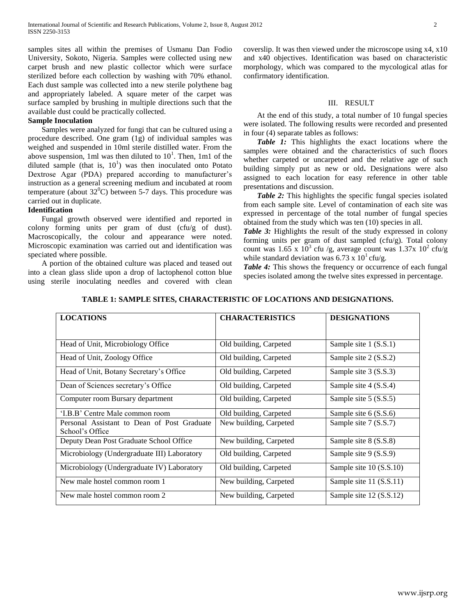samples sites all within the premises of Usmanu Dan Fodio University, Sokoto, Nigeria. Samples were collected using new carpet brush and new plastic collector which were surface sterilized before each collection by washing with 70% ethanol. Each dust sample was collected into a new sterile polythene bag and appropriately labeled. A square meter of the carpet was surface sampled by brushing in multiple directions such that the available dust could be practically collected.

#### **Sample Inoculation**

 Samples were analyzed for fungi that can be cultured using a procedure described. One gram (1g) of individual samples was weighed and suspended in 10ml sterile distilled water. From the above suspension, 1ml was then diluted to  $10<sup>1</sup>$ . Then, 1m1 of the diluted sample (that is,  $10<sup>1</sup>$ ) was then inoculated onto Potato Dextrose Agar (PDA) prepared according to manufacturer's instruction as a general screening medium and incubated at room temperature (about  $32^{\circ}$ C) between 5-7 days. This procedure was carried out in duplicate.

#### **Identification**

 Fungal growth observed were identified and reported in colony forming units per gram of dust (cfu/g of dust). Macroscopically, the colour and appearance were noted. Microscopic examination was carried out and identification was speciated where possible.

 A portion of the obtained culture was placed and teased out into a clean glass slide upon a drop of lactophenol cotton blue using sterile inoculating needles and covered with clean coverslip. It was then viewed under the microscope using x4, x10 and x40 objectives. Identification was based on characteristic morphology, which was compared to the mycological atlas for confirmatory identification.

#### III. RESULT

 At the end of this study, a total number of 10 fungal species were isolated. The following results were recorded and presented in four (4) separate tables as follows:

 *Table 1:* This highlights the exact locations where the samples were obtained and the characteristics of such floors whether carpeted or uncarpeted and the relative age of such building simply put as new or old**.** Designations were also assigned to each location for easy reference in other table presentations and discussion.

*Table 2:* This highlights the specific fungal species isolated from each sample site. Level of contamination of each site was expressed in percentage of the total number of fungal species obtained from the study which was ten (10) species in all.

*Table 3:* Highlights the result of the study expressed in colony forming units per gram of dust sampled (cfu/g). Total colony count was  $1.65 \times 10^3$  cfu /g, average count was  $1.37 \times 10^2$  cfu/g while standard deviation was  $6.73 \times 10^{1}$  cfu/g.

*Table 4:* This shows the frequency or occurrence of each fungal species isolated among the twelve sites expressed in percentage.

| <b>LOCATIONS</b>                                               | <b>CHARACTERISTICS</b> | <b>DESIGNATIONS</b>       |
|----------------------------------------------------------------|------------------------|---------------------------|
|                                                                |                        |                           |
| Head of Unit, Microbiology Office                              | Old building, Carpeted | Sample site 1 (S.S.1)     |
| Head of Unit, Zoology Office                                   | Old building, Carpeted | Sample site $2(S.S.2)$    |
| Head of Unit, Botany Secretary's Office                        | Old building, Carpeted | Sample site 3 (S.S.3)     |
| Dean of Sciences secretary's Office                            | Old building, Carpeted | Sample site 4 (S.S.4)     |
| Computer room Bursary department                               | Old building, Carpeted | Sample site 5 (S.S.5)     |
| 'I.B.B' Centre Male common room                                | Old building, Carpeted | Sample site $6(S.S.6)$    |
| Personal Assistant to Dean of Post Graduate<br>School's Office | New building, Carpeted | Sample site 7 (S.S.7)     |
| Deputy Dean Post Graduate School Office                        | New building, Carpeted | Sample site 8 (S.S.8)     |
| Microbiology (Undergraduate III) Laboratory                    | Old building, Carpeted | Sample site 9 (S.S.9)     |
| Microbiology (Undergraduate IV) Laboratory                     | Old building, Carpeted | Sample site $10$ (S.S.10) |
| New male hostel common room 1                                  | New building, Carpeted | Sample site 11 (S.S.11)   |
| New male hostel common room 2                                  | New building, Carpeted | Sample site 12 (S.S.12)   |

#### **TABLE 1: SAMPLE SITES, CHARACTERISTIC OF LOCATIONS AND DESIGNATIONS.**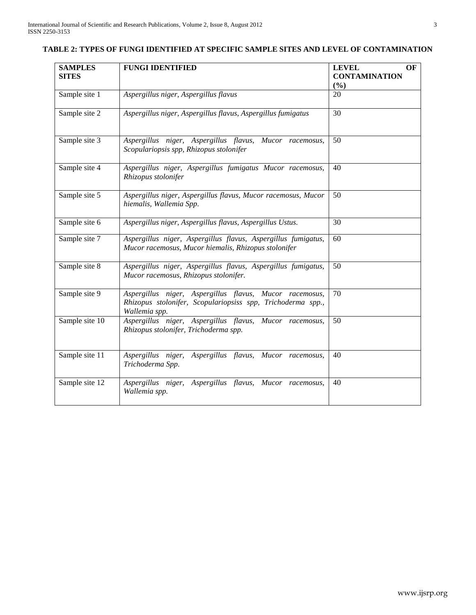| <b>SAMPLES</b><br><b>SITES</b> | <b>FUNGI IDENTIFIED</b>                                                                                                                 | <b>LEVEL</b><br>OF<br><b>CONTAMINATION</b> |
|--------------------------------|-----------------------------------------------------------------------------------------------------------------------------------------|--------------------------------------------|
| Sample site 1                  | Aspergillus niger, Aspergillus flavus                                                                                                   | (%)<br>20                                  |
| Sample site 2                  | Aspergillus niger, Aspergillus flavus, Aspergillus fumigatus                                                                            | 30                                         |
| Sample site 3                  | Aspergillus niger, Aspergillus flavus, Mucor racemosus,<br>Scopulariopsis spp, Rhizopus stolonifer                                      | 50                                         |
| Sample site 4                  | Aspergillus niger, Aspergillus fumigatus Mucor racemosus,<br>Rhizopus stolonifer                                                        | 40                                         |
| Sample site 5                  | Aspergillus niger, Aspergillus flavus, Mucor racemosus, Mucor<br>hiemalis, Wallemia Spp.                                                | 50                                         |
| Sample site 6                  | Aspergillus niger, Aspergillus flavus, Aspergillus Ustus.                                                                               | 30                                         |
| Sample site 7                  | Aspergillus niger, Aspergillus flavus, Aspergillus fumigatus,<br>Mucor racemosus, Mucor hiemalis, Rhizopus stolonifer                   | 60                                         |
| Sample site 8                  | Aspergillus niger, Aspergillus flavus, Aspergillus fumigatus,<br>Mucor racemosus, Rhizopus stolonifer.                                  | 50                                         |
| Sample site 9                  | Aspergillus niger, Aspergillus flavus, Mucor racemosus,<br>Rhizopus stolonifer, Scopulariopsiss spp, Trichoderma spp.,<br>Wallemia spp. | 70                                         |
| Sample site 10                 | Aspergillus niger, Aspergillus flavus, Mucor racemosus,<br>Rhizopus stolonifer, Trichoderma spp.                                        | 50                                         |
| Sample site 11                 | Aspergillus niger,<br>Aspergillus flavus, Mucor racemosus,<br>Trichoderma Spp.                                                          | 40                                         |
| Sample site 12                 | Aspergillus niger, Aspergillus flavus,<br>Mucor racemosus,<br>Wallemia spp.                                                             | 40                                         |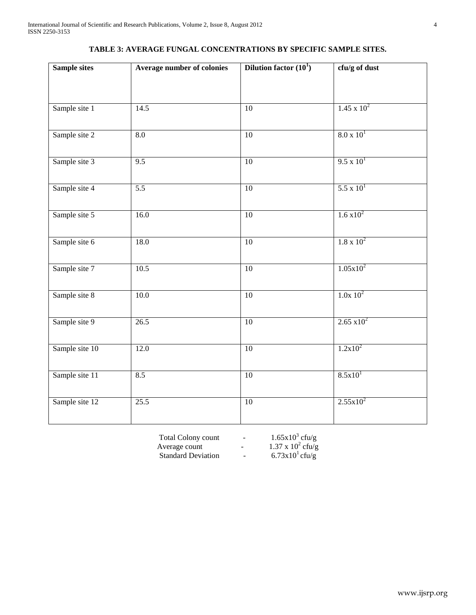| <b>Sample sites</b> | Average number of colonies | <b>Dilution factor</b> $(10^1)$ | cfu/g of dust        |
|---------------------|----------------------------|---------------------------------|----------------------|
|                     |                            |                                 |                      |
| Sample site 1       | 14.5                       | $\overline{10}$                 | $1.45 \times 10^{2}$ |
| Sample site 2       | $\overline{8.0}$           | $\overline{10}$                 | $8.0 \times 10^{1}$  |
| Sample site 3       | 9.5                        | 10                              | $9.5 \times 10^{1}$  |
| Sample site 4       | $\overline{5.5}$           | $\overline{10}$                 | $5.5 \times 10^{1}$  |
| Sample site 5       | 16.0                       | 10                              | $1.6 \times 10^{2}$  |
| Sample site 6       | 18.0                       | 10                              | $1.8 \times 10^{2}$  |
| Sample site 7       | 10.5                       | $\overline{10}$                 | $1.05x10^2$          |
| Sample site 8       | $10.0\,$                   | $10\,$                          | $1.0x\ 10^2$         |
| Sample site 9       | 26.5                       | 10                              | $2.65 \times 10^{2}$ |
| Sample site 10      | 12.0                       | 10                              | $1.2x10^2$           |
| Sample site 11      | 8.5                        | 10                              | 8.5x10 <sup>1</sup>  |
| Sample site 12      | 25.5                       | $\overline{10}$                 | $2.55x10^2$          |
|                     |                            |                                 |                      |

## **TABLE 3: AVERAGE FUNGAL CONCENTRATIONS BY SPECIFIC SAMPLE SITES.**

Total Colony count  $1.65x10^3$ Total Colony count<br>Average count<br>Standard Deviation

cfu/g

Average count  $1.37 \times 10^2$ cfu/g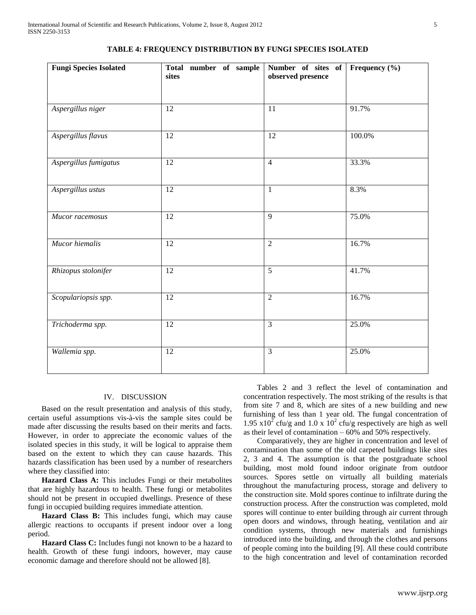| <b>Fungi Species Isolated</b> | Total number of sample<br>sites | Number of sites of<br>observed presence | Frequency (%) |
|-------------------------------|---------------------------------|-----------------------------------------|---------------|
| Aspergillus niger             | 12                              | 11                                      | 91.7%         |
| Aspergillus flavus            | $\overline{12}$                 | $\overline{12}$                         | 100.0%        |
| Aspergillus fumigatus         | 12                              | $\overline{4}$                          | 33.3%         |
| Aspergillus ustus             | 12                              | $\mathbf{1}$                            | 8.3%          |
| Mucor racemosus               | $\overline{12}$                 | $\overline{9}$                          | 75.0%         |
| Mucor hiemalis                | 12                              | $\overline{2}$                          | 16.7%         |
| Rhizopus stolonifer           | 12                              | $\overline{5}$                          | 41.7%         |
| Scopulariopsis spp.           | 12                              | $\overline{2}$                          | 16.7%         |
| Trichoderma spp.              | 12                              | $\overline{3}$                          | 25.0%         |
| Wallemia spp.                 | 12                              | $\overline{3}$                          | 25.0%         |

#### **TABLE 4: FREQUENCY DISTRIBUTION BY FUNGI SPECIES ISOLATED**

#### IV. DISCUSSION

 Based on the result presentation and analysis of this study, certain useful assumptions vis-à-vis the sample sites could be made after discussing the results based on their merits and facts. However, in order to appreciate the economic values of the isolated species in this study, it will be logical to appraise them based on the extent to which they can cause hazards. This hazards classification has been used by a number of researchers where they classified into:

 **Hazard Class A:** This includes Fungi or their metabolites that are highly hazardous to health. These fungi or metabolites should not be present in occupied dwellings. Presence of these fungi in occupied building requires immediate attention.

 **Hazard Class B:** This includes fungi, which may cause allergic reactions to occupants if present indoor over a long period.

 **Hazard Class C:** Includes fungi not known to be a hazard to health. Growth of these fungi indoors, however, may cause economic damage and therefore should not be allowed [8].

 Tables 2 and 3 reflect the level of contamination and concentration respectively. The most striking of the results is that from site 7 and 8, which are sites of a new building and new furnishing of less than 1 year old. The fungal concentration of 1.95  $x10^2$  cfu/g and 1.0 x 10<sup>2</sup> cfu/g respectively are high as well as their level of contamination – 60% and 50% respectively.

 Comparatively, they are higher in concentration and level of contamination than some of the old carpeted buildings like sites 2, 3 and 4. The assumption is that the postgraduate school building, most mold found indoor originate from outdoor sources. Spores settle on virtually all building materials throughout the manufacturing process, storage and delivery to the construction site. Mold spores continue to infiltrate during the construction process. After the construction was completed, mold spores will continue to enter building through air current through open doors and windows, through heating, ventilation and air condition systems, through new materials and furnishings introduced into the building, and through the clothes and persons of people coming into the building [9]. All these could contribute to the high concentration and level of contamination recorded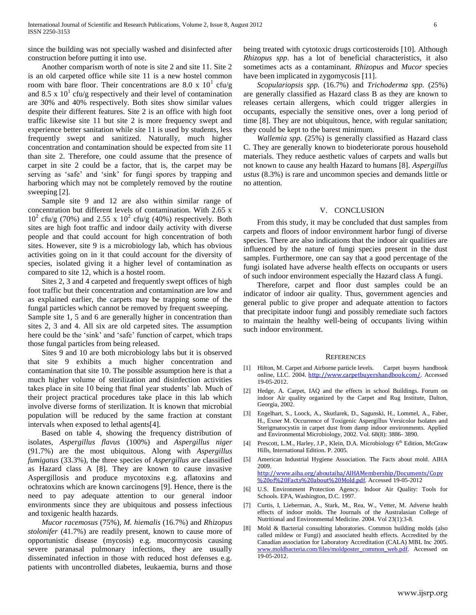since the building was not specially washed and disinfected after construction before putting it into use.

 Another comparism worth of note is site 2 and site 11. Site 2 is an old carpeted office while site 11 is a new hostel common room with bare floor. Their concentrations are 8.0 x  $10^1$  cfu/g and 8.5 x  $10<sup>1</sup>$  cfu/g respectively and their level of contamination are 30% and 40% respectively. Both sites show similar values despite their different features. Site 2 is an office with high foot traffic likewise site 11 but site 2 is more frequency swept and experience better sanitation while site 11 is used by students, less frequently swept and sanitized. Naturally, much higher concentration and contamination should be expected from site 11 than site 2. Therefore, one could assume that the presence of carpet in site 2 could be a factor, that is, the carpet may be serving as 'safe' and 'sink' for fungi spores by trapping and harboring which may not be completely removed by the routine sweeping [2].

 Sample site 9 and 12 are also within similar range of concentration but different levels of contamination. With 2.65 x  $10^2$  cfu/g (70%) and 2.55 x  $10^2$  cfu/g (40%) respectively. Both sites are high foot traffic and indoor daily activity with diverse people and that could account for high concentration of both sites. However, site 9 is a microbiology lab, which has obvious activities going on in it that could account for the diversity of species, isolated giving it a higher level of contamination as compared to site 12, which is a hostel room.

 Sites 2, 3 and 4 carpeted and frequently swept offices of high foot traffic but their concentration and contamination are low and as explained earlier, the carpets may be trapping some of the fungal particles which cannot be removed by frequent sweeping. Sample site 1, 5 and 6 are generally higher in concentration than sites 2, 3 and 4. All six are old carpeted sites. The assumption here could be the 'sink' and 'safe' function of carpet, which traps those fungal particles from being released.

 Sites 9 and 10 are both microbiology labs but it is observed that site 9 exhibits a much higher concentration and contamination that site 10. The possible assumption here is that a much higher volume of sterilization and disinfection activities takes place in site 10 being that final year students' lab. Much of their project practical procedures take place in this lab which involve diverse forms of sterilization. It is known that microbial population will be reduced by the same fraction at constant intervals when exposed to lethal agents[4].

 Based on table 4, showing the frequency distribution of isolates, *Aspergillus flavus* (100%) and *Aspergillus niger* (91.7%) are the most ubiquitous. Along with *Aspergillus fumigatus* (33.3%), the three species of *Aspergillus* are classified as Hazard class A [8]. They are known to cause invasive Aspergillosis and produce mycotoxins e.g. aflatoxins and ochratoxins which are known carcinogens [9]. Hence, there is the need to pay adequate attention to our general indoor environments since they are ubiquitous and possess infectious and toxigenic health hazards.

 *Mucor racemosus* (75%), *M. hiemalis* (16.7%) and *Rhizopus stolonifer* (41.7%) are readily present, known to cause more of opportunistic disease (mycosis) e.g. mucormycosis causing severe paranasal pulmonary infections, they are usually disseminated infection in those with reduced host defenses e.g. patients with uncontrolled diabetes, leukaemia, burns and those

being treated with cytotoxic drugs corticosteroids [10]. Although *Rhizopus spp*. has a lot of beneficial characteristics, it also sometimes acts as a contaminant. *Rhizopus* and *Mucor* species have been implicated in zygomycosis [11].

 *Scopulariopsis spp.* (16.7%) and *Trichoderma spp.* (25%) are generally classified as Hazard class B as they are known to releases certain allergens, which could trigger allergies in occupants, especially the sensitive ones, over a long period of time [8]. They are not ubiquitous, hence, with regular sanitation; they could be kept to the barest minimum.

 *Wallemia spp.* (25%) is generally classified as Hazard class C. They are generally known to biodeteriorate porous household materials. They reduce aesthetic values of carpets and walls but not known to cause any health Hazard to humans [8]. *Aspergillus ustus* (8.3%) is rare and uncommon species and demands little or no attention.

#### V. CONCLUSION

 From this study, it may be concluded that dust samples from carpets and floors of indoor environment harbor fungi of diverse species. There are also indications that the indoor air qualities are influenced by the nature of fungi species present in the dust samples. Furthermore, one can say that a good percentage of the fungi isolated have adverse health effects on occupants or users of such indoor environment especially the Hazard class A fungi.

 Therefore, carpet and floor dust samples could be an indicator of indoor air quality. Thus, government agencies and general public to give proper and adequate attention to factors that precipitate indoor fungi and possibly remediate such factors to maintain the healthy well-being of occupants living within such indoor environment.

#### **REFERENCES**

- [1] Hilton, M. Carpet and Airborne particle levels. Carpet buyers handbook online, LLC. 2004. <http://www.carpetbuyershandbook.com/>. Accessed 19-05-2012.
- [2] Hedge, A. Carpet, IAQ and the effects in school Buildings. Forum on indoor Air quality organized by the Carpet and Rug Institute, Dalton, Georgia, 2002.
- [3] Engelhart, S., Loock, A., Skutlarek, D., Sagunski, H., Lommel, A., Faber, H., Exner M. Occurrence of Toxigenic Aspergillus Versicolor Isolates and Sterigmatocystin in carpet dust from damp indoor environments. Applied and Environmental Microbiology, 2002. Vol. 68(8): 3886- 3890.
- [4] Prescott, L.M., Harley, J.P., Klein, D.A. Microbiology 6<sup>th</sup> Edition, McGraw Hills, International Edition. P. 2005.
- [5] American Industrial Hygiene Association. The Facts about mold. AIHA 2009. [http://www.aiha.org/aboutaiha/AIHAMembership/Documents/Copy](http://www.aiha.org/aboutaiha/AIHAMembership/Documents/Copy%20of%20Facts%20about%20Mold.pdf) [%20of%20Facts%20about%20Mold.pdf](http://www.aiha.org/aboutaiha/AIHAMembership/Documents/Copy%20of%20Facts%20about%20Mold.pdf). Accessed 19-05-2012
- [6] U.S. Environment Protection Agency. Indoor Air Quality: Tools for Schools. EPA, Washington, D.C. 1997.
- [7] Curtis, I, Lieberman, A., Stark, M., Rea, W., Vetter, M. Adverse health effects of indoor molds. The Journals of the Australasian College of Nutritional and Environmental Medicine. 2004. Vol 23(1):3-8.
- [8] Mold & Bacterial consulting laboratories. Common building molds (also called mildew or Fungi) and associated health effects. Accredited by the Canadian association for Laboratory Accreditation (CALA) MBL Inc 2005. [www.moldbacteria.com/files/moldposter\\_common\\_web.pdf.](http://www.moldbacteria.com/files/moldposter_common_web.pdf) Accessed on 19-05-2012.